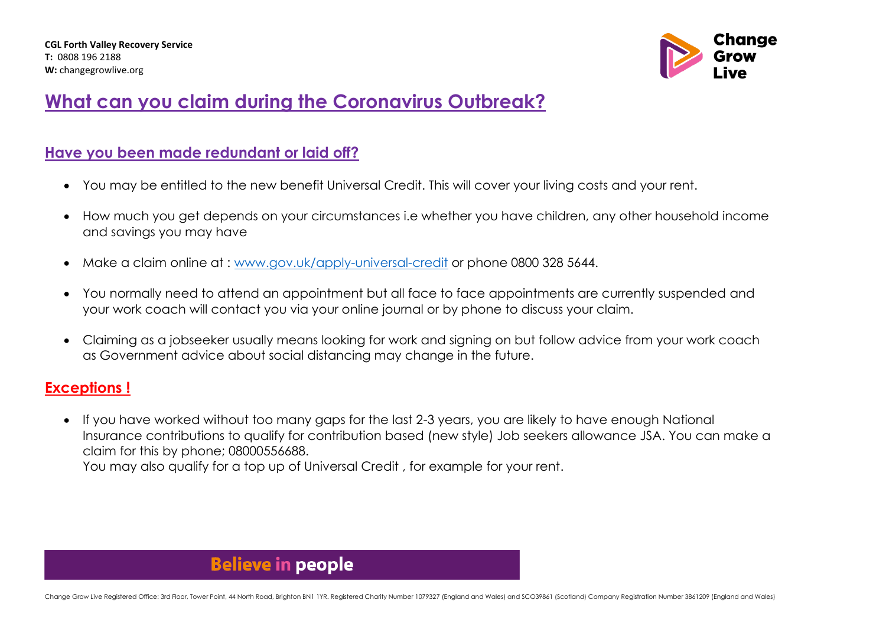

## **What can you claim during the Coronavirus Outbreak?**

#### **Have you been made redundant or laid off?**

- You may be entitled to the new benefit Universal Credit. This will cover your living costs and your rent.
- How much you get depends on your circumstances i.e whether you have children, any other household income and savings you may have
- Make a claim online at : [www.gov.uk/apply-universal-credit](http://www.gov.uk/apply-universal-credit) or phone 0800 328 5644.
- You normally need to attend an appointment but all face to face appointments are currently suspended and your work coach will contact you via your online journal or by phone to discuss your claim.
- Claiming as a jobseeker usually means looking for work and signing on but follow advice from your work coach as Government advice about social distancing may change in the future.

### **Exceptions !**

• If you have worked without too many gaps for the last 2-3 years, you are likely to have enough National Insurance contributions to qualify for contribution based (new style) Job seekers allowance JSA. You can make a claim for this by phone; 08000556688. You may also qualify for a top up of Universal Credit , for example for your rent.

### **Believe in people**

Change Grow Live Registered Office: 3rd Floor, Tower Point, 44 North Road, Brighton BN1 1YR, Registered Charity Number 1079327 (England and Wales) and SCO39861 (Scotland) Company Registration Number 3861209 (England and Wa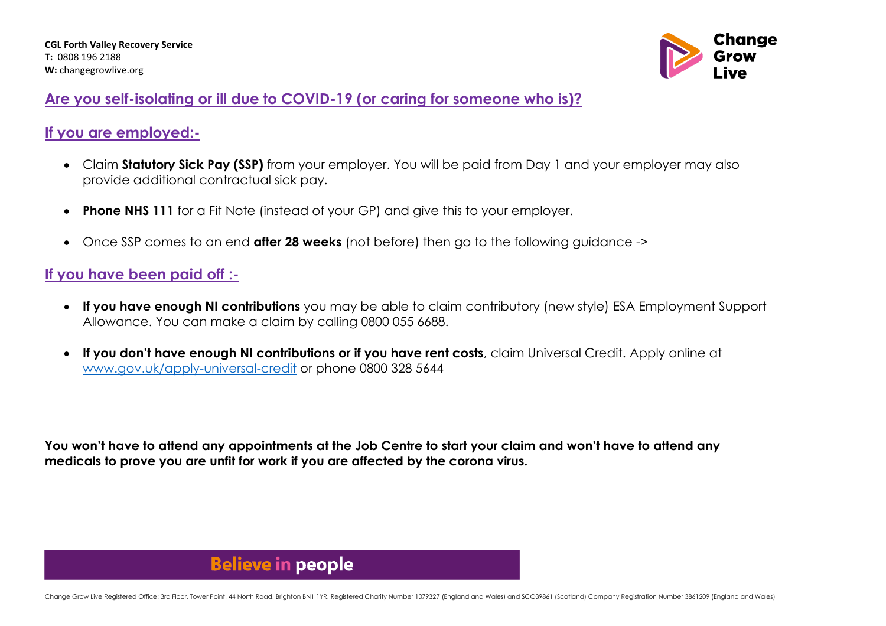

### **Are you self-isolating or ill due to COVID-19 (or caring for someone who is)?**

### **If you are employed:-**

- Claim **Statutory Sick Pay (SSP)** from your employer. You will be paid from Day 1 and your employer may also provide additional contractual sick pay.
- **Phone NHS 111** for a Fit Note (instead of your GP) and give this to your employer.
- Once SSP comes to an end **after 28 weeks** (not before) then go to the following guidance ->

### **If you have been paid off :-**

- **If you have enough NI contributions** you may be able to claim contributory (new style) ESA Employment Support Allowance. You can make a claim by calling 0800 055 6688.
- **If you don't have enough NI contributions or if you have rent costs**, claim Universal Credit. Apply online at [www.gov.uk/apply-universal-credit](http://www.gov.uk/apply-universal-credit) or phone 0800 328 5644

**You won't have to attend any appointments at the Job Centre to start your claim and won't have to attend any medicals to prove you are unfit for work if you are affected by the corona virus.** 

### **Believe in people**

Change Grow Live Registered Office: 3rd Floor, Tower Point, 44 North Road, Brighton BN1 1YR, Registered Charity Number 1079327 (England and Wales) and SCO39861 (Scotland) Company Registration Number 3861209 (England and Wa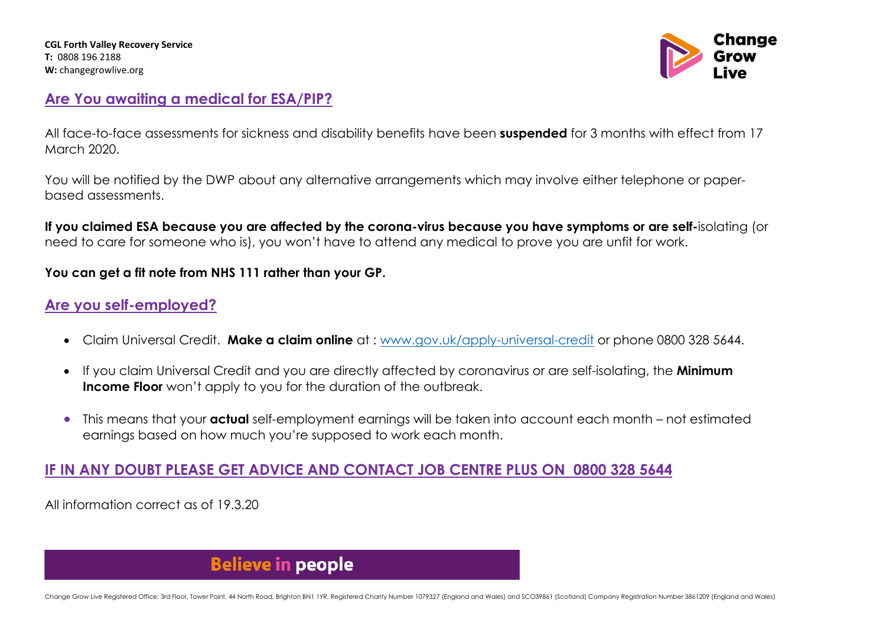**CGL Forth Valley Recovery Service T:** 0808 196 2188 **W:** changegrowlive.org



### **Are You awaiting a medical for ESA/PIP?**

All face-to-face assessments for sickness and disability benefits have been **suspended** for 3 months with effect from 17 March 2020.

You will be notified by the DWP about any alternative arrangements which may involve either telephone or paperbased assessments.

**If you claimed ESA because you are affected by the corona-virus because you have symptoms or are self-**isolating (or need to care for someone who is), you won't have to attend any medical to prove you are unfit for work.

#### **You can get a fit note from NHS 111 rather than your GP.**

### **Are you self-employed?**

- Claim Universal Credit. **Make a claim online** at : [www.gov.uk/apply-universal-credit](http://www.gov.uk/apply-universal-credit) or phone 0800 328 5644.
- If you claim Universal Credit and you are directly affected by coronavirus or are self-isolating, the **Minimum Income Floor** won't apply to you for the duration of the outbreak.
- This means that your **actual** self-employment earnings will be taken into account each month not estimated earnings based on how much you're supposed to work each month.

### **IF IN ANY DOUBT PLEASE GET ADVICE AND CONTACT JOB CENTRE PLUS ON 0800 328 5644**

All information correct as of 19.3.20

### **Believe in people**

Change Grow Live Registered Office: 3rd Floor, Tower Point, 44 North Road, Brighton BN1 1YR, Registered Charity Number 1079327 (England and Wales) and SCO39861 (Scotland) Company Registration Number 3861209 (England and Wa